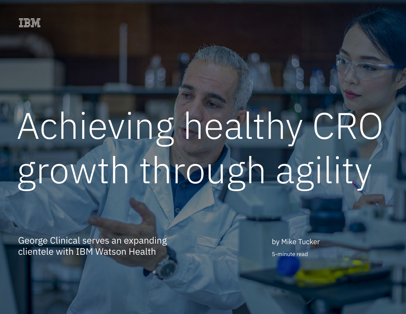

# Achieving healthy CRO growth through agility

George Clinical serves an expanding clientele with IBM Watson Health

by Mike Tucker 5-minute read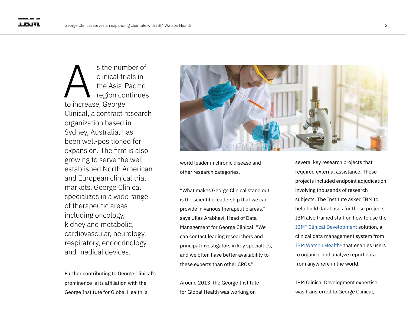s the number of clinical trials in the Asia-Pacific region continues s the num<br>clinical tri<br>the Asia-F<br>region cor<br>to increase, George Clinical, a contract research organization based in Sydney, Australia, has been well-positioned for expansion. The firm is also growing to serve the wellestablished North American and European clinical trial markets. George Clinical specializes in a wide range of therapeutic areas including oncology, kidney and metabolic, cardiovascular, neurology, respiratory, endocrinology and medical devices.

Further contributing to George Clinical's prominence is its affiliation with the George Institute for Global Health, a



world leader in chronic disease and other research categories.

"What makes George Clinical stand out is the scientific leadership that we can provide in various therapeutic areas," says Ullas Arabhavi, Head of Data Management for George Clinical. "We can contact leading researchers and principal investigators in key specialties, and we often have better availability to these experts than other CROs."

Around 2013, the George Institute for Global Health was working on

several key research projects that required external assistance. These projects included endpoint adjudication involving thousands of research subjects. The Institute asked IBM to help build databases for these projects. IBM also trained staff on how to use the [IBM® Clinical Development](https://www.ibm.com/products/clinical-development) solution, a clinical data management system from [IBM Watson Health®](https://www.ibm.com/watson-health) that enables users to organize and analyze report data from anywhere in the world.

IBM Clinical Development expertise was transferred to George Clinical,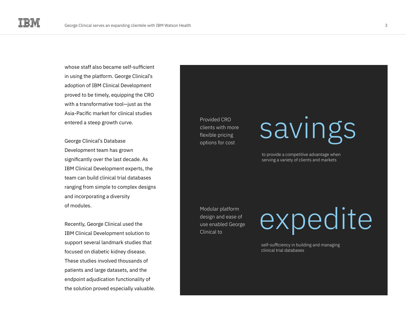whose staff also became self-sufficient in using the platform. George Clinical's adoption of IBM Clinical Development proved to be timely, equipping the CRO with a transformative tool—just as the Asia-Pacific market for clinical studies entered a steep growth curve.

George Clinical's Database Development team has grown significantly over the last decade. As IBM Clinical Development experts, the team can build clinical trial databases ranging from simple to complex designs and incorporating a diversity of modules.

Recently, George Clinical used the IBM Clinical Development solution to support several landmark studies that focused on diabetic kidney disease. These studies involved thousands of patients and large datasets, and the endpoint adjudication functionality of the solution proved especially valuable.

Provided CRO clients with more flexible pricing options for cost

savings

to provide a competitive advantage when serving a variety of clients and markets

Modular platform design and ease of use enabled George Clinical to

expedite

self-sufficiency in building and managing clinical trial databases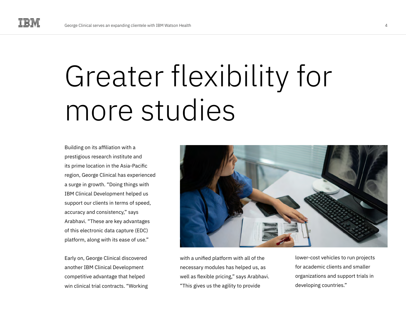## Greater flexibility for more studies

Building on its affiliation with a prestigious research institute and its prime location in the Asia-Pacific region, George Clinical has experienced a surge in growth. "Doing things with IBM Clinical Development helped us support our clients in terms of speed, accuracy and consistency," says Arabhavi. "These are key advantages of this electronic data capture (EDC) platform, along with its ease of use."

Early on, George Clinical discovered another IBM Clinical Development competitive advantage that helped win clinical trial contracts. "Working



with a unified platform with all of the necessary modules has helped us, as well as flexible pricing," says Arabhavi. "This gives us the agility to provide

lower-cost vehicles to run projects for academic clients and smaller organizations and support trials in developing countries."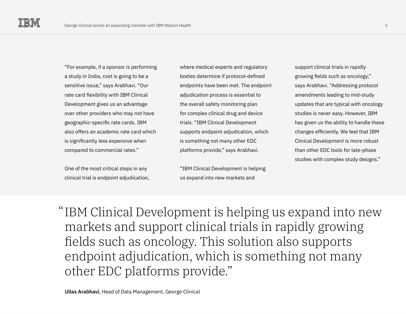"For example, if a sponsor is performing a study in India, cost is going to be a sensitive issue," says Arabhavi. "Our rate card flexibility with IBM Clinical Development gives us an advantage over other providers who may not have geographic-specific rate cards. IBM also offers an academic rate card which is significantly less expensive when compared to commercial rates."

One of the most critical steps in any clinical trial is endpoint adjudication, where medical experts and regulatory bodies determine if protocol-defined endpoints have been met. The endpoint adjudication process is essential to the overall safety monitoring plan for complex clinical drug and device trials. "IBM Clinical Development supports endpoint adjudication, which is something not many other EDC platforms provide," says Arabhavi.

"IBM Clinical Development is helping us expand into new markets and

support clinical trials in rapidly growing fields such as oncology," says Arabhavi. "Addressing protocol amendments leading to mid-study updates that are typical with oncology studies is never easy. However, IBM has given us the ability to handle these changes efficiently. We feel that IBM Clinical Development is more robust than other EDC tools for late-phase studies with complex study designs."

"IBM Clinical Development is helping us expand into new markets and support clinical trials in rapidly growing fields such as oncology. This solution also supports endpoint adjudication, which is something not many other EDC platforms provide."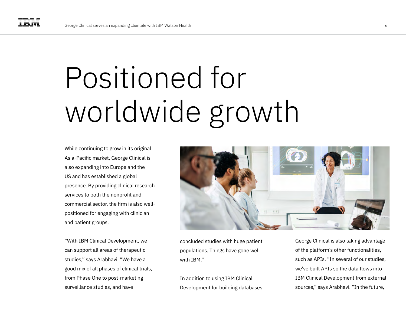## Positioned for worldwide growth

While continuing to grow in its original Asia-Pacific market, George Clinical is also expanding into Europe and the US and has established a global presence. By providing clinical research services to both the nonprofit and commercial sector, the firm is also wellpositioned for engaging with clinician and patient groups.

"With IBM Clinical Development, we can support all areas of therapeutic studies," says Arabhavi. "We have a good mix of all phases of clinical trials, from Phase One to post-marketing surveillance studies, and have



concluded studies with huge patient populations. Things have gone well with IBM."

In addition to using IBM Clinical Development for building databases, George Clinical is also taking advantage of the platform's other functionalities, such as APIs. "In several of our studies, we've built APIs so the data flows into IBM Clinical Development from external sources," says Arabhavi. "In the future,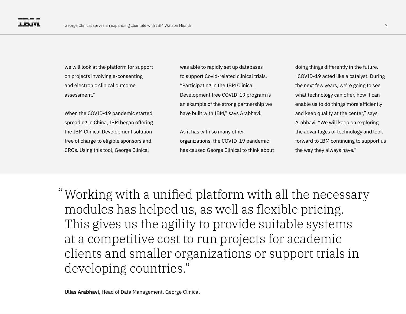we will look at the platform for support on projects involving e-consenting and electronic clinical outcome assessment."

When the COVID-19 pandemic started spreading in China, IBM began offering the IBM Clinical Development solution free of charge to eligible sponsors and CROs. Using this tool, George Clinical

was able to rapidly set up databases to support Covid-related clinical trials. "Participating in the IBM Clinical Development free COVID-19 program is an example of the strong partnership we have built with IBM," says Arabhavi.

As it has with so many other organizations, the COVID-19 pandemic has caused George Clinical to think about

doing things differently in the future. "COVID-19 acted like a catalyst. During the next few years, we're going to see what technology can offer, how it can enable us to do things more efficiently and keep quality at the center," says Arabhavi. "We will keep on exploring the advantages of technology and look forward to IBM continuing to support us the way they always have."

Working with a unified platform with all the necessary "modules has helped us, as well as flexible pricing. This gives us the agility to provide suitable systems at a competitive cost to run projects for academic clients and smaller organizations or support trials in developing countries."